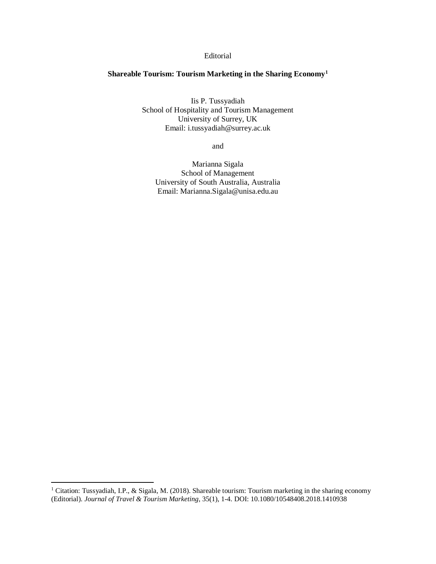## Editorial

## **Shareable Tourism: Tourism Marketing in the Sharing Economy<sup>1</sup>**

Iis P. Tussyadiah School of Hospitality and Tourism Management University of Surrey, UK Email: i.tussyadiah@surrey.ac.uk

and

Marianna Sigala School of Management University of South Australia, Australia Email: Marianna.Sigala@unisa.edu.au

 $\overline{\phantom{a}}$ 

<sup>&</sup>lt;sup>1</sup> Citation: Tussyadiah, I.P., & Sigala, M. (2018). Shareable tourism: Tourism marketing in the sharing economy (Editorial). *Journal of Travel & Tourism Marketing*, 35(1), 1-4. DOI: 10.1080/10548408.2018.1410938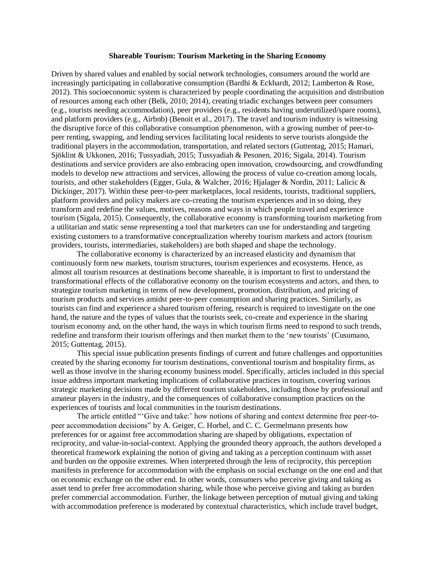## **Shareable Tourism: Tourism Marketing in the Sharing Economy**

Driven by shared values and enabled by social network technologies, consumers around the world are increasingly participating in collaborative consumption (Bardhi & Eckhardt, 2012; Lamberton & Rose, 2012). This socioeconomic system is characterized by people coordinating the acquisition and distribution of resources among each other (Belk, 2010; 2014), creating triadic exchanges between peer consumers (e.g., tourists needing accommodation), peer providers (e.g., residents having underutilized/spare rooms), and platform providers (e.g., Airbnb) (Benoit et al., 2017). The travel and tourism industry is witnessing the disruptive force of this collaborative consumption phenomenon, with a growing number of peer-topeer renting, swapping, and lending services facilitating local residents to serve tourists alongside the traditional players in the accommodation, transportation, and related sectors (Guttentag, 2015; Hamari, Sjöklint & Ukkonen, 2016; Tussyadiah, 2015; Tussyadiah & Pesonen, 2016; Sigala, 2014). Tourism destinations and service providers are also embracing open innovation, crowdsourcing, and crowdfunding models to develop new attractions and services, allowing the process of value co-creation among locals, tourists, and other stakeholders (Egger, Gula, & Walcher, 2016; Hjalager & Nordin, 2011; Lalicic & Dickinger, 2017). Within these peer-to-peer marketplaces, local residents, tourists, traditional suppliers, platform providers and policy makers are co-creating the tourism experiences and in so doing, they transform and redefine the values, motives, reasons and ways in which people travel and experience tourism (Sigala, 2015). Consequently, the collaborative economy is transforming tourism marketing from a utilitarian and static sense representing a tool that marketers can use for understanding and targeting existing customers to a transformative conceptualization whereby tourism markets and actors (tourism providers, tourists, intermediaries, stakeholders) are both shaped and shape the technology.

The collaborative economy is characterized by an increased elasticity and dynamism that continuously form new markets, tourism structures, tourism experiences and ecosystems. Hence, as almost all tourism resources at destinations become shareable, it is important to first to understand the transformational effects of the collaborative economy on the tourism ecosystems and actors, and then, to strategize tourism marketing in terms of new development, promotion, distribution, and pricing of tourism products and services amidst peer-to-peer consumption and sharing practices. Similarly, as tourists can find and experience a shared tourism offering, research is required to investigate on the one hand, the nature and the types of values that the tourists seek, co-create and experience in the sharing tourism economy and, on the other hand, the ways in which tourism firms need to respond to such trends, redefine and transform their tourism offerings and then market them to the 'new tourists' (Cusumano, 2015; Guttentag, 2015).

This special issue publication presents findings of current and future challenges and opportunities created by the sharing economy for tourism destinations, conventional tourism and hospitality firms, as well as those involve in the sharing economy business model. Specifically, articles included in this special issue address important marketing implications of collaborative practices in tourism, covering various strategic marketing decisions made by different tourism stakeholders, including those by professional and amateur players in the industry, and the consequences of collaborative consumption practices on the experiences of tourists and local communities in the tourism destinations.

The article entitled "'Give and take:' how notions of sharing and context determine free peer-topeer accommodation decisions" by A. Geiger, C. Horbel, and C. C. Germelmann presents how preferences for or against free accommodation sharing are shaped by obligations, expectation of reciprocity, and value-in-social-context. Applying the grounded theory approach, the authors developed a theoretical framework explaining the notion of giving and taking as a perception continuum with asset and burden on the opposite extremes. When interpreted through the lens of reciprocity, this perception manifests in preference for accommodation with the emphasis on social exchange on the one end and that on economic exchange on the other end. In other words, consumers who perceive giving and taking as asset tend to prefer free accommodation sharing, while those who perceive giving and taking as burden prefer commercial accommodation. Further, the linkage between perception of mutual giving and taking with accommodation preference is moderated by contextual characteristics, which include travel budget,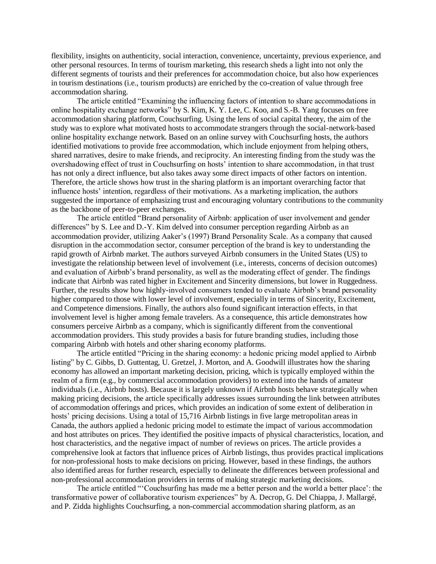flexibility, insights on authenticity, social interaction, convenience, uncertainty, previous experience, and other personal resources. In terms of tourism marketing, this research sheds a light into not only the different segments of tourists and their preferences for accommodation choice, but also how experiences in tourism destinations (i.e., tourism products) are enriched by the co-creation of value through free accommodation sharing.

The article entitled "Examining the influencing factors of intention to share accommodations in online hospitality exchange networks" by S. Kim, K. Y. Lee, C. Koo, and S.-B. Yang focuses on free accommodation sharing platform, Couchsurfing. Using the lens of social capital theory, the aim of the study was to explore what motivated hosts to accommodate strangers through the social-network-based online hospitality exchange network. Based on an online survey with Couchsurfing hosts, the authors identified motivations to provide free accommodation, which include enjoyment from helping others, shared narratives, desire to make friends, and reciprocity. An interesting finding from the study was the overshadowing effect of trust in Couchsurfing on hosts' intention to share accommodation, in that trust has not only a direct influence, but also takes away some direct impacts of other factors on intention. Therefore, the article shows how trust in the sharing platform is an important overarching factor that influence hosts' intention, regardless of their motivations. As a marketing implication, the authors suggested the importance of emphasizing trust and encouraging voluntary contributions to the community as the backbone of peer-to-peer exchanges.

The article entitled "Brand personality of Airbnb: application of user involvement and gender differences" by S. Lee and D.-Y. Kim delved into consumer perception regarding Airbnb as an accommodation provider, utilizing Aaker's (1997) Brand Personality Scale. As a company that caused disruption in the accommodation sector, consumer perception of the brand is key to understanding the rapid growth of Airbnb market. The authors surveyed Airbnb consumers in the United States (US) to investigate the relationship between level of involvement (i.e., interests, concerns of decision outcomes) and evaluation of Airbnb's brand personality, as well as the moderating effect of gender. The findings indicate that Airbnb was rated higher in Excitement and Sincerity dimensions, but lower in Ruggedness. Further, the results show how highly-involved consumers tended to evaluate Airbnb's brand personality higher compared to those with lower level of involvement, especially in terms of Sincerity, Excitement, and Competence dimensions. Finally, the authors also found significant interaction effects, in that involvement level is higher among female travelers. As a consequence, this article demonstrates how consumers perceive Airbnb as a company, which is significantly different from the conventional accommodation providers. This study provides a basis for future branding studies, including those comparing Airbnb with hotels and other sharing economy platforms.

The article entitled "Pricing in the sharing economy: a hedonic pricing model applied to Airbnb listing" by C. Gibbs, D. Guttentag, U. Gretzel, J. Morton, and A. Goodwill illustrates how the sharing economy has allowed an important marketing decision, pricing, which is typically employed within the realm of a firm (e.g., by commercial accommodation providers) to extend into the hands of amateur individuals (i.e., Airbnb hosts). Because it is largely unknown if Airbnb hosts behave strategically when making pricing decisions, the article specifically addresses issues surrounding the link between attributes of accommodation offerings and prices, which provides an indication of some extent of deliberation in hosts' pricing decisions. Using a total of 15,716 Airbnb listings in five large metropolitan areas in Canada, the authors applied a hedonic pricing model to estimate the impact of various accommodation and host attributes on prices. They identified the positive impacts of physical characteristics, location, and host characteristics, and the negative impact of number of reviews on prices. The article provides a comprehensive look at factors that influence prices of Airbnb listings, thus provides practical implications for non-professional hosts to make decisions on pricing. However, based in these findings, the authors also identified areas for further research, especially to delineate the differences between professional and non-professional accommodation providers in terms of making strategic marketing decisions.

The article entitled "'Couchsurfing has made me a better person and the world a better place': the transformative power of collaborative tourism experiences" by A. Decrop, G. Del Chiappa, J. Mallargé, and P. Zidda highlights Couchsurfing, a non-commercial accommodation sharing platform, as an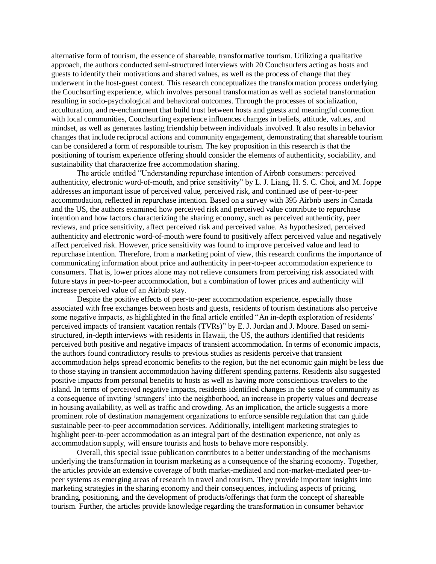alternative form of tourism, the essence of shareable, transformative tourism. Utilizing a qualitative approach, the authors conducted semi-structured interviews with 20 Couchsurfers acting as hosts and guests to identify their motivations and shared values, as well as the process of change that they underwent in the host-guest context. This research conceptualizes the transformation process underlying the Couchsurfing experience, which involves personal transformation as well as societal transformation resulting in socio-psychological and behavioral outcomes. Through the processes of socialization, acculturation, and re-enchantment that build trust between hosts and guests and meaningful connection with local communities, Couchsurfing experience influences changes in beliefs, attitude, values, and mindset, as well as generates lasting friendship between individuals involved. It also results in behavior changes that include reciprocal actions and community engagement, demonstrating that shareable tourism can be considered a form of responsible tourism. The key proposition in this research is that the positioning of tourism experience offering should consider the elements of authenticity, sociability, and sustainability that characterize free accommodation sharing.

The article entitled "Understanding repurchase intention of Airbnb consumers: perceived authenticity, electronic word-of-mouth, and price sensitivity" by L. J. Liang, H. S. C. Choi, and M. Joppe addresses an important issue of perceived value, perceived risk, and continued use of peer-to-peer accommodation, reflected in repurchase intention. Based on a survey with 395 Airbnb users in Canada and the US, the authors examined how perceived risk and perceived value contribute to repurchase intention and how factors characterizing the sharing economy, such as perceived authenticity, peer reviews, and price sensitivity, affect perceived risk and perceived value. As hypothesized, perceived authenticity and electronic word-of-mouth were found to positively affect perceived value and negatively affect perceived risk. However, price sensitivity was found to improve perceived value and lead to repurchase intention. Therefore, from a marketing point of view, this research confirms the importance of communicating information about price and authenticity in peer-to-peer accommodation experience to consumers. That is, lower prices alone may not relieve consumers from perceiving risk associated with future stays in peer-to-peer accommodation, but a combination of lower prices and authenticity will increase perceived value of an Airbnb stay.

Despite the positive effects of peer-to-peer accommodation experience, especially those associated with free exchanges between hosts and guests, residents of tourism destinations also perceive some negative impacts, as highlighted in the final article entitled "An in-depth exploration of residents' perceived impacts of transient vacation rentals (TVRs)" by E. J. Jordan and J. Moore. Based on semistructured, in-depth interviews with residents in Hawaii, the US, the authors identified that residents perceived both positive and negative impacts of transient accommodation. In terms of economic impacts, the authors found contradictory results to previous studies as residents perceive that transient accommodation helps spread economic benefits to the region, but the net economic gain might be less due to those staying in transient accommodation having different spending patterns. Residents also suggested positive impacts from personal benefits to hosts as well as having more conscientious travelers to the island. In terms of perceived negative impacts, residents identified changes in the sense of community as a consequence of inviting 'strangers' into the neighborhood, an increase in property values and decrease in housing availability, as well as traffic and crowding. As an implication, the article suggests a more prominent role of destination management organizations to enforce sensible regulation that can guide sustainable peer-to-peer accommodation services. Additionally, intelligent marketing strategies to highlight peer-to-peer accommodation as an integral part of the destination experience, not only as accommodation supply, will ensure tourists and hosts to behave more responsibly.

Overall, this special issue publication contributes to a better understanding of the mechanisms underlying the transformation in tourism marketing as a consequence of the sharing economy. Together, the articles provide an extensive coverage of both market-mediated and non-market-mediated peer-topeer systems as emerging areas of research in travel and tourism. They provide important insights into marketing strategies in the sharing economy and their consequences, including aspects of pricing, branding, positioning, and the development of products/offerings that form the concept of shareable tourism. Further, the articles provide knowledge regarding the transformation in consumer behavior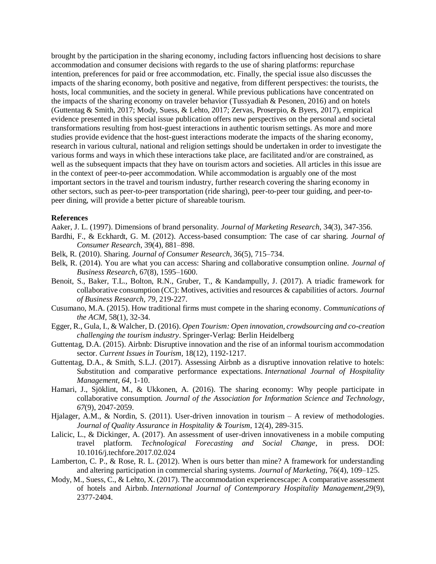brought by the participation in the sharing economy, including factors influencing host decisions to share accommodation and consumer decisions with regards to the use of sharing platforms: repurchase intention, preferences for paid or free accommodation, etc. Finally, the special issue also discusses the impacts of the sharing economy, both positive and negative, from different perspectives: the tourists, the hosts, local communities, and the society in general. While previous publications have concentrated on the impacts of the sharing economy on traveler behavior (Tussyadiah & Pesonen, 2016) and on hotels (Guttentag & Smith, 2017; Mody, Suess, & Lehto, 2017; Zervas, Proserpio, & Byers, 2017), empirical evidence presented in this special issue publication offers new perspectives on the personal and societal transformations resulting from host-guest interactions in authentic tourism settings. As more and more studies provide evidence that the host-guest interactions moderate the impacts of the sharing economy, research in various cultural, national and religion settings should be undertaken in order to investigate the various forms and ways in which these interactions take place, are facilitated and/or are constrained, as well as the subsequent impacts that they have on tourism actors and societies. All articles in this issue are in the context of peer-to-peer accommodation. While accommodation is arguably one of the most important sectors in the travel and tourism industry, further research covering the sharing economy in other sectors, such as peer-to-peer transportation (ride sharing), peer-to-peer tour guiding, and peer-topeer dining, will provide a better picture of shareable tourism.

## **References**

Aaker, J. L. (1997). Dimensions of brand personality. *Journal of Marketing Research*, 34(3), 347-356.

- Bardhi, F., & Eckhardt, G. M. (2012). Access-based consumption: The case of car sharing. *Journal of Consumer Research*, 39(4), 881–898.
- Belk, R. (2010). Sharing. *Journal of Consumer Research*, 36(5), 715–734.
- Belk, R. (2014). You are what you can access: Sharing and collaborative consumption online. *Journal of Business Research,* 67(8), 1595–1600.
- Benoit, S., Baker, T.L., Bolton, R.N., Gruber, T., & Kandampully, J. (2017). A triadic framework for collaborative consumption (CC): Motives, activities and resources & capabilities of actors. *Journal of Business Research, 79*, 219-227.
- Cusumano, M.A. (2015). How traditional firms must compete in the sharing economy. *Communications of the ACM*, 58(1), 32-34.
- Egger, R., Gula, I., & Walcher, D. (2016). *Open Tourism: Open innovation, crowdsourcing and co-creation challenging the tourism industry*. Springer-Verlag: Berlin Heidelberg
- Guttentag, D.A. (2015). Airbnb: Disruptive innovation and the rise of an informal tourism accommodation sector. *Current Issues in Tourism,* 18(12), 1192-1217.
- Guttentag, D.A., & Smith, S.L.J. (2017). Assessing Airbnb as a disruptive innovation relative to hotels: Substitution and comparative performance expectations. *International Journal of Hospitality Management, 64*, 1-10.
- Hamari, J., Sjöklint, M., & Ukkonen, A. (2016). The sharing economy: Why people participate in collaborative consumption. *Journal of the Association for Information Science and Technology, 67*(9), 2047-2059.
- Hjalager, A.M., & Nordin, S. (2011). User-driven innovation in tourism A review of methodologies. *Journal of Quality Assurance in Hospitality & Tourism*, 12(4), 289-315.
- Lalicic, L., & Dickinger, A. (2017). An assessment of user-driven innovativeness in a mobile computing travel platform. *Technological Forecasting and Social Change*, in press. DOI: [10.1016/j.techfore.2017.02.024](https://doi.org/10.1016/j.techfore.2017.02.024)
- Lamberton, C. P., & Rose, R. L. (2012). When is ours better than mine? A framework for understanding and altering participation in commercial sharing systems. *Journal of Marketing*, 76(4), 109–125.
- Mody, M., Suess, C., & Lehto, X. (2017). The accommodation experiencescape: A comparative assessment of hotels and Airbnb. *International Journal of Contemporary Hospitality Management,29*(9), 2377-2404.